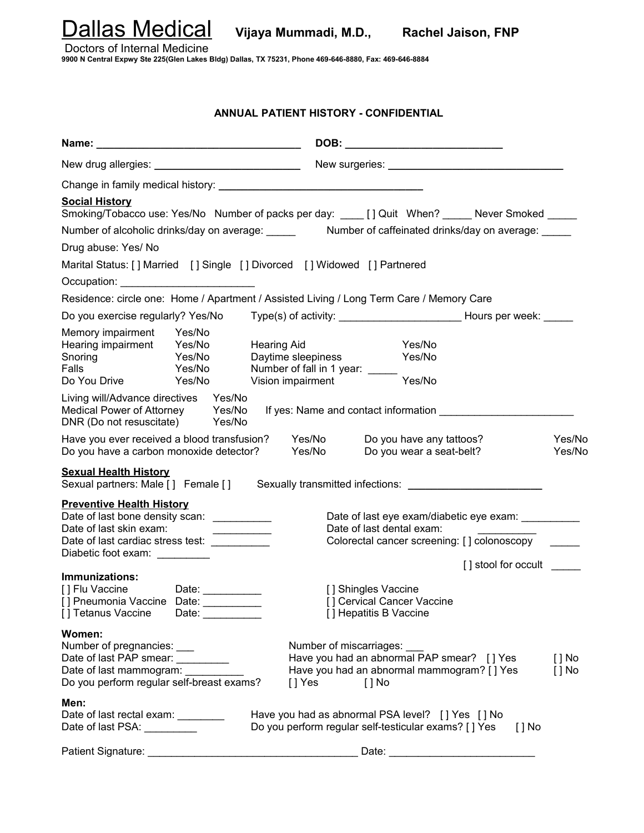Dallas Medical **Vijaya Mummadi, M.D., Rachel Jaison, FNP**

Doctors of Internal Medicine

**9900 N Central Expwy Ste 225(Glen Lakes Bldg) Dallas, TX 75231, Phone 469-646-8880, Fax: 469-646-8884**

## **ANNUAL PATIENT HISTORY - CONFIDENTIAL**

| New drug allergies: ________________________________                                                                                                                                       |                            |                                                                                                  |                  |                                                                                                                                    |                     |                    |  |
|--------------------------------------------------------------------------------------------------------------------------------------------------------------------------------------------|----------------------------|--------------------------------------------------------------------------------------------------|------------------|------------------------------------------------------------------------------------------------------------------------------------|---------------------|--------------------|--|
|                                                                                                                                                                                            |                            |                                                                                                  |                  |                                                                                                                                    |                     |                    |  |
| <b>Social History</b><br>Smoking/Tobacco use: Yes/No Number of packs per day: ____ [ ] Quit When? _____ Never Smoked _____                                                                 |                            |                                                                                                  |                  |                                                                                                                                    |                     |                    |  |
|                                                                                                                                                                                            |                            |                                                                                                  |                  |                                                                                                                                    |                     |                    |  |
| Drug abuse: Yes/ No                                                                                                                                                                        |                            |                                                                                                  |                  |                                                                                                                                    |                     |                    |  |
| Marital Status: [] Married [] Single [] Divorced [] Widowed [] Partnered                                                                                                                   |                            |                                                                                                  |                  |                                                                                                                                    |                     |                    |  |
| Occupation: _____________________________                                                                                                                                                  |                            |                                                                                                  |                  |                                                                                                                                    |                     |                    |  |
| Residence: circle one: Home / Apartment / Assisted Living / Long Term Care / Memory Care                                                                                                   |                            |                                                                                                  |                  |                                                                                                                                    |                     |                    |  |
| Do you exercise regularly? Yes/No                                                                                                                                                          |                            |                                                                                                  |                  |                                                                                                                                    |                     |                    |  |
| Memory impairment Yes/No<br>Hearing impairment Yes/No<br>Sporing Yes/No<br>Snoring <b>Sandware</b><br>Falls<br>Do You Drive                                                                | Yes/No<br>Yes/No<br>Yes/No | <b>Hearing Aid</b><br>Daytime sleepiness<br>Number of fall in 1 year: _____<br>Vision impairment |                  | Yes/No<br>Yes/No<br>Yes/No                                                                                                         |                     |                    |  |
| Living will/Advance directives  Yes/No<br>Medical Power of Attorney Yes/No<br>DNR (Do not resuscitate) Yes/No                                                                              |                            |                                                                                                  |                  | If yes: Name and contact information                                                                                               |                     |                    |  |
| Have you ever received a blood transfusion?<br>Do you have a carbon monoxide detector?                                                                                                     |                            |                                                                                                  | Yes/No<br>Yes/No | Do you have any tattoos?<br>Do you wear a seat-belt?                                                                               |                     | Yes/No<br>Yes/No   |  |
| <b>Sexual Health History</b><br>Sexual partners: Male [] Female [] Sexually transmitted infections: _____________                                                                          |                            |                                                                                                  |                  |                                                                                                                                    |                     |                    |  |
| <b>Preventive Health History</b><br>Date of last bone density scan: __________<br>Date of last skin exam:<br>Date of last cardiac stress test: __________<br>Diabetic foot exam: _________ |                            |                                                                                                  |                  | Date of last eye exam/diabetic eye exam:<br>Date of last dental exam:<br>Colorectal cancer screening: [] colonoscopy               |                     |                    |  |
| Immunizations:<br>[] Flu Vaccine Date: __________<br>[] Pneumonia Vaccine Date: __________<br>[] Tetanus Vaccine                                                                           | Date: __________           |                                                                                                  |                  | [] Shingles Vaccine<br>[] Cervical Cancer Vaccine<br>[] Hepatitis B Vaccine                                                        | [] stool for occult |                    |  |
| Women:<br>Number of pregnancies:<br>Date of last PAP smear: _________<br>Date of last mammogram: _______<br>Do you perform regular self-breast exams?                                      |                            | [ ] Yes                                                                                          |                  | Number of miscarriages:<br>Have you had an abnormal PAP smear? [] Yes<br>Have you had an abnormal mammogram? [ ] Yes<br>$[$ $]$ No |                     | [ ] No<br>$[ ]$ No |  |
| Men:<br>Date of last rectal exam: ________<br>Date of last PSA: _________                                                                                                                  |                            |                                                                                                  |                  | Have you had as abnormal PSA level? [] Yes [] No<br>Do you perform regular self-testicular exams? [ ] Yes                          | $[$ $]$ No          |                    |  |
| Patient Signature:                                                                                                                                                                         |                            |                                                                                                  |                  | Date:                                                                                                                              |                     |                    |  |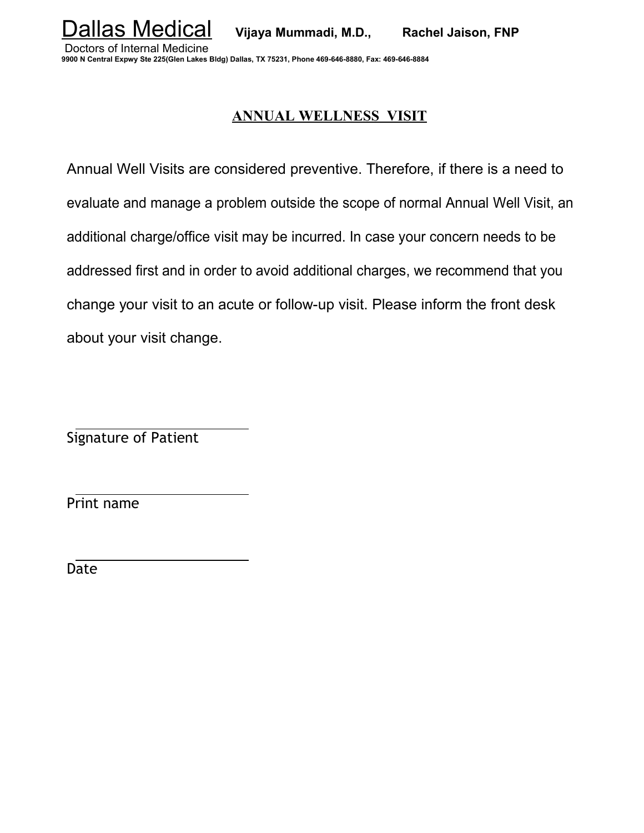Dallas Medical **Vijaya Mummadi, M.D., Rachel Jaison, FNP**

 Doctors of Internal Medicine **9900 N Central Expwy Ste 225(Glen Lakes Bldg) Dallas, TX 75231, Phone 469-646-8880, Fax: 469-646-8884**

## **ANNUAL WELLNESS VISIT**

Annual Well Visits are considered preventive. Therefore, if there is a need to evaluate and manage a problem outside the scope of normal Annual Well Visit, an additional charge/office visit may be incurred. In case your concern needs to be addressed first and in order to avoid additional charges, we recommend that you change your visit to an acute or follow-up visit. Please inform the front desk about your visit change.

Signature of Patient

Print name

Date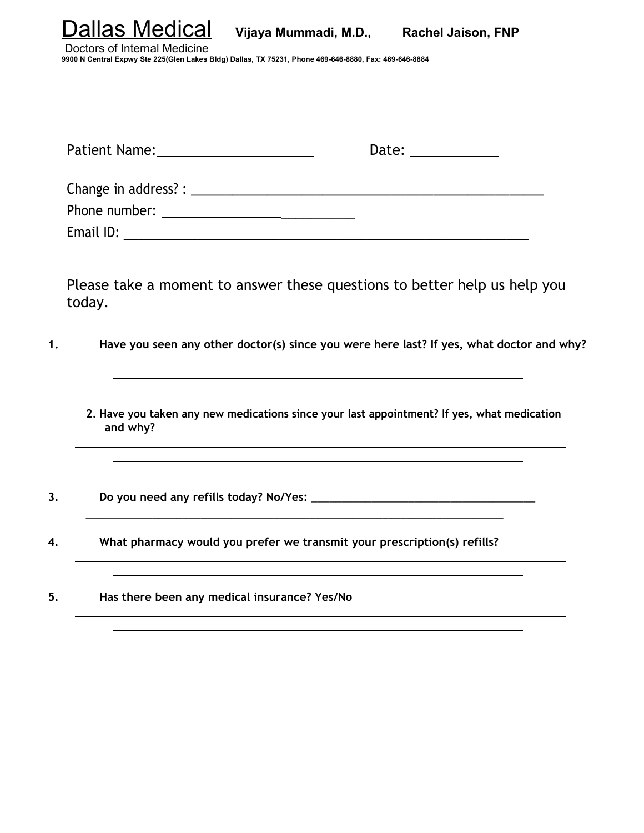| llas Medical | Vijaya Mummadi, M.D., | <b>Rachel Jaison, FNP</b> |
|--------------|-----------------------|---------------------------|
|              |                       |                           |

 Doctors of Internal Medicine **9900 N Central Expwy Ste 225(Glen Lakes Bldg) Dallas, TX 75231, Phone 469-646-8880, Fax: 469-646-8884**

| Patient Name: 2008 and 2012 and 2013 and 2014 and 2016 and 2017 and 2018 and 2018 and 2018 and 2018 and 2018 and 2018 and 2018 and 2018 and 2018 and 2018 and 2018 and 2018 and 2018 and 2018 and 2018 and 2018 and 2018 and 2 | Date: the contract of the contract of the contract of the contract of the contract of the contract of the contract of the contract of the contract of the contract of the contract of the contract of the contract of the cont |
|--------------------------------------------------------------------------------------------------------------------------------------------------------------------------------------------------------------------------------|--------------------------------------------------------------------------------------------------------------------------------------------------------------------------------------------------------------------------------|
|                                                                                                                                                                                                                                |                                                                                                                                                                                                                                |
| Phone number: _________________                                                                                                                                                                                                |                                                                                                                                                                                                                                |
| Email ID:                                                                                                                                                                                                                      |                                                                                                                                                                                                                                |

Please take a moment to answer these questions to better help us help you today.

- **1. Have you seen any other doctor(s) since you were here last? If yes, what doctor and why?**
	- **2. Have you taken any new medications since your last appointment? If yes, what medication and why?**
- **3. Do you need any refills today? No/Yes:** \_\_\_\_\_\_\_\_\_\_\_\_\_\_\_\_\_\_\_\_\_\_\_\_\_\_\_\_\_\_\_\_\_\_\_\_\_
- **4. What pharmacy would you prefer we transmit your prescription(s) refills?**

\_\_\_\_\_\_\_\_\_\_\_\_\_\_\_\_\_\_\_\_\_\_\_\_\_\_\_\_\_\_\_\_\_\_\_\_\_\_\_\_\_\_\_\_\_\_\_\_\_\_\_\_\_\_\_\_\_\_\_\_\_\_\_\_\_\_\_\_\_

**5. Has there been any medical insurance? Yes/No**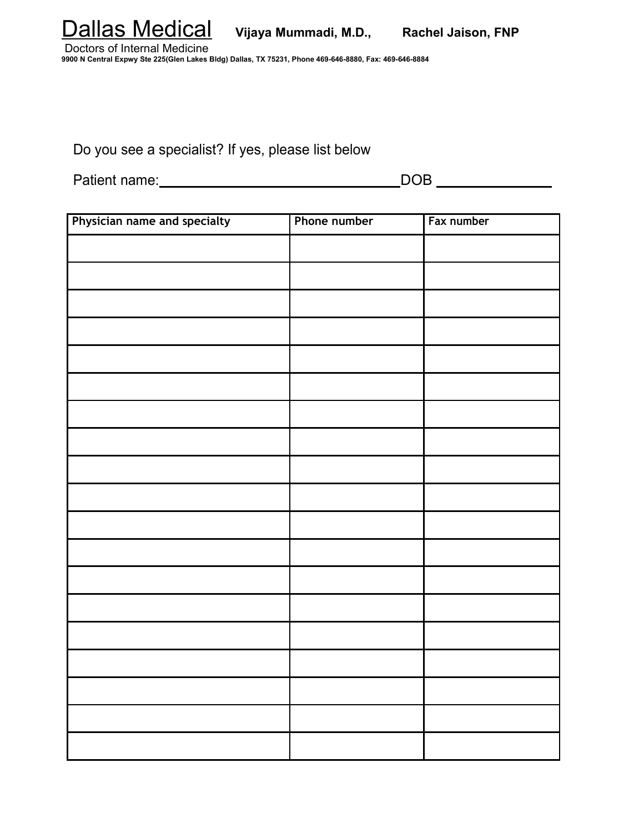

 Doctors of Internal Medicine **9900 N Central Expwy Ste 225(Glen Lakes Bldg) Dallas, TX 75231, Phone 469-646-8880, Fax: 469-646-8884**

Do you see a specialist? If yes, please list below

Patient name: DOB

| Physician name and specialty | Phone number | Fax number |
|------------------------------|--------------|------------|
|                              |              |            |
|                              |              |            |
|                              |              |            |
|                              |              |            |
|                              |              |            |
|                              |              |            |
|                              |              |            |
|                              |              |            |
|                              |              |            |
|                              |              |            |
|                              |              |            |
|                              |              |            |
|                              |              |            |
|                              |              |            |
|                              |              |            |
|                              |              |            |
|                              |              |            |
|                              |              |            |
|                              |              |            |